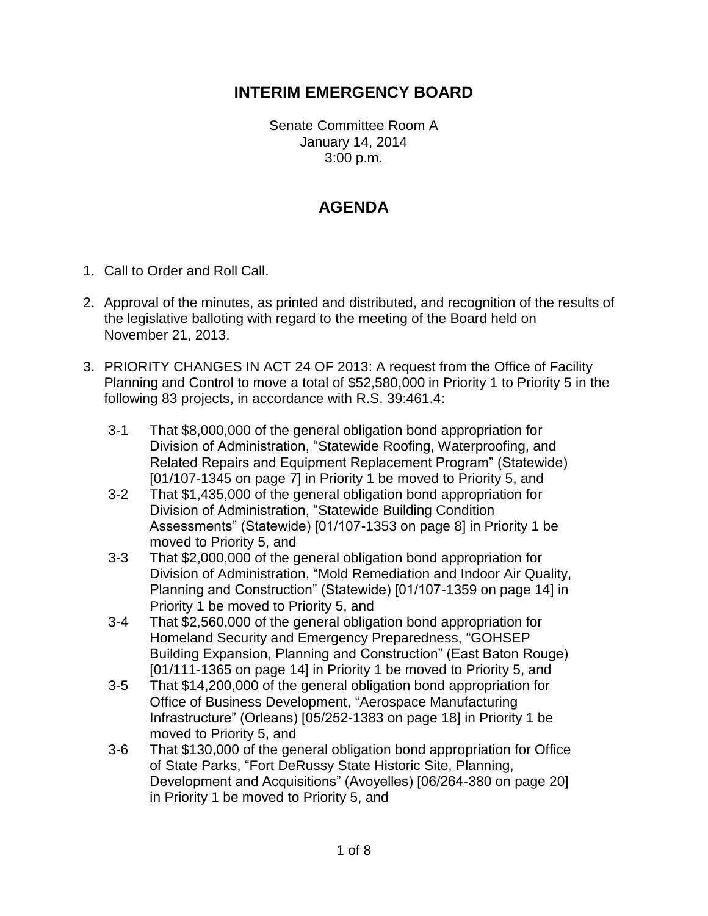## **INTERIM EMERGENCY BOARD**

Senate Committee Room A January 14, 2014 3:00 p.m.

## **AGENDA**

- 1. Call to Order and Roll Call.
- 2. Approval of the minutes, as printed and distributed, and recognition of the results of the legislative balloting with regard to the meeting of the Board held on November 21, 2013.
- 3. PRIORITY CHANGES IN ACT 24 OF 2013: A request from the Office of Facility Planning and Control to move a total of \$52,580,000 in Priority 1 to Priority 5 in the following 83 projects, in accordance with R.S. 39:461.4:
	- 3-1 That \$8,000,000 of the general obligation bond appropriation for Division of Administration, "Statewide Roofing, Waterproofing, and Related Repairs and Equipment Replacement Program" (Statewide) [01/107-1345 on page 7] in Priority 1 be moved to Priority 5, and
	- 3-2 That \$1,435,000 of the general obligation bond appropriation for Division of Administration, "Statewide Building Condition Assessments" (Statewide) [01/107-1353 on page 8] in Priority 1 be moved to Priority 5, and
	- 3-3 That \$2,000,000 of the general obligation bond appropriation for Division of Administration, "Mold Remediation and Indoor Air Quality, Planning and Construction" (Statewide) [01/107-1359 on page 14] in Priority 1 be moved to Priority 5, and
	- 3-4 That \$2,560,000 of the general obligation bond appropriation for Homeland Security and Emergency Preparedness, "GOHSEP Building Expansion, Planning and Construction" (East Baton Rouge) [01/111-1365 on page 14] in Priority 1 be moved to Priority 5, and
	- 3-5 That \$14,200,000 of the general obligation bond appropriation for Office of Business Development, "Aerospace Manufacturing Infrastructure" (Orleans) [05/252-1383 on page 18] in Priority 1 be moved to Priority 5, and
	- 3-6 That \$130,000 of the general obligation bond appropriation for Office of State Parks, "Fort DeRussy State Historic Site, Planning, Development and Acquisitions" (Avoyelles) [06/264-380 on page 20] in Priority 1 be moved to Priority 5, and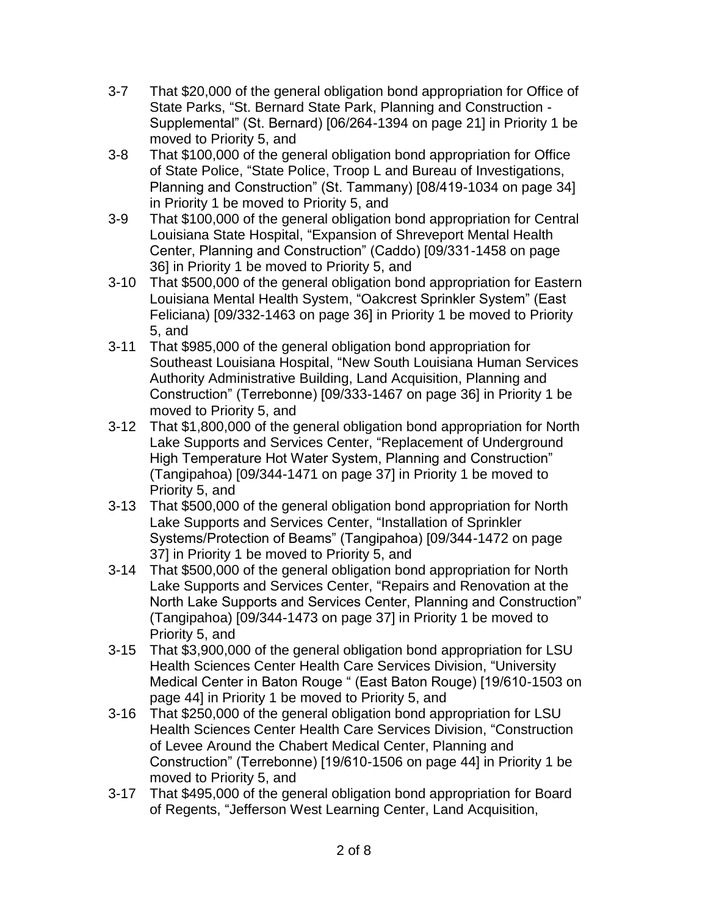- 3-7 That \$20,000 of the general obligation bond appropriation for Office of State Parks, "St. Bernard State Park, Planning and Construction - Supplemental" (St. Bernard) [06/264-1394 on page 21] in Priority 1 be moved to Priority 5, and
- 3-8 That \$100,000 of the general obligation bond appropriation for Office of State Police, "State Police, Troop L and Bureau of Investigations, Planning and Construction" (St. Tammany) [08/419-1034 on page 34] in Priority 1 be moved to Priority 5, and
- 3-9 That \$100,000 of the general obligation bond appropriation for Central Louisiana State Hospital, "Expansion of Shreveport Mental Health Center, Planning and Construction" (Caddo) [09/331-1458 on page 36] in Priority 1 be moved to Priority 5, and
- 3-10 That \$500,000 of the general obligation bond appropriation for Eastern Louisiana Mental Health System, "Oakcrest Sprinkler System" (East Feliciana) [09/332-1463 on page 36] in Priority 1 be moved to Priority 5, and
- 3-11 That \$985,000 of the general obligation bond appropriation for Southeast Louisiana Hospital, "New South Louisiana Human Services Authority Administrative Building, Land Acquisition, Planning and Construction" (Terrebonne) [09/333-1467 on page 36] in Priority 1 be moved to Priority 5, and
- 3-12 That \$1,800,000 of the general obligation bond appropriation for North Lake Supports and Services Center, "Replacement of Underground High Temperature Hot Water System, Planning and Construction" (Tangipahoa) [09/344-1471 on page 37] in Priority 1 be moved to Priority 5, and
- 3-13 That \$500,000 of the general obligation bond appropriation for North Lake Supports and Services Center, "Installation of Sprinkler Systems/Protection of Beams" (Tangipahoa) [09/344-1472 on page 37] in Priority 1 be moved to Priority 5, and
- 3-14 That \$500,000 of the general obligation bond appropriation for North Lake Supports and Services Center, "Repairs and Renovation at the North Lake Supports and Services Center, Planning and Construction" (Tangipahoa) [09/344-1473 on page 37] in Priority 1 be moved to Priority 5, and
- 3-15 That \$3,900,000 of the general obligation bond appropriation for LSU Health Sciences Center Health Care Services Division, "University Medical Center in Baton Rouge " (East Baton Rouge) [19/610-1503 on page 44] in Priority 1 be moved to Priority 5, and
- 3-16 That \$250,000 of the general obligation bond appropriation for LSU Health Sciences Center Health Care Services Division, "Construction of Levee Around the Chabert Medical Center, Planning and Construction" (Terrebonne) [19/610-1506 on page 44] in Priority 1 be moved to Priority 5, and
- 3-17 That \$495,000 of the general obligation bond appropriation for Board of Regents, "Jefferson West Learning Center, Land Acquisition,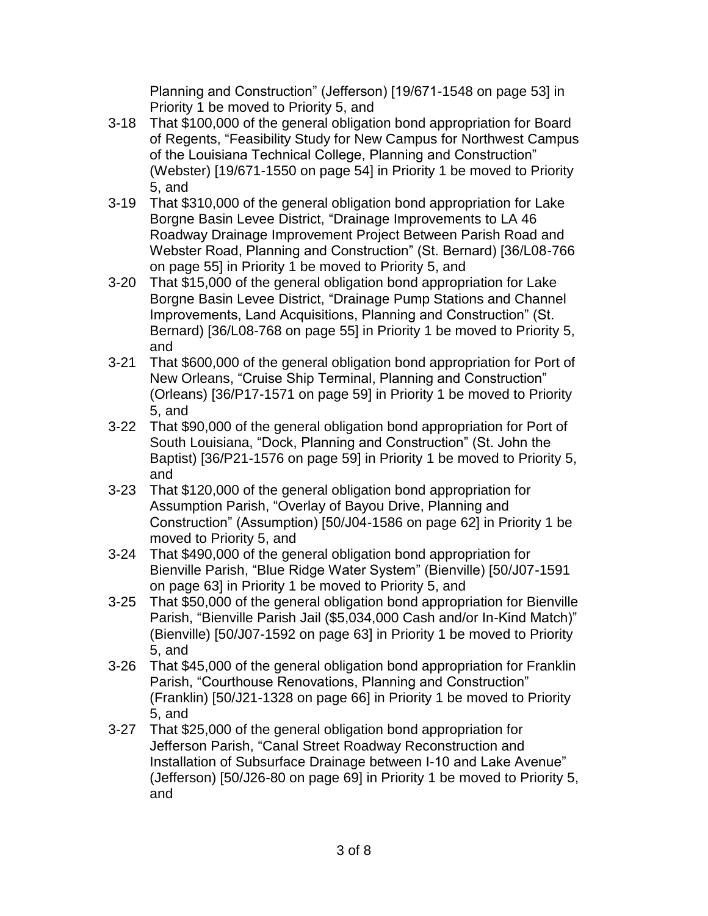Planning and Construction" (Jefferson) [19/671-1548 on page 53] in Priority 1 be moved to Priority 5, and

- 3-18 That \$100,000 of the general obligation bond appropriation for Board of Regents, "Feasibility Study for New Campus for Northwest Campus of the Louisiana Technical College, Planning and Construction" (Webster) [19/671-1550 on page 54] in Priority 1 be moved to Priority 5, and
- 3-19 That \$310,000 of the general obligation bond appropriation for Lake Borgne Basin Levee District, "Drainage Improvements to LA 46 Roadway Drainage Improvement Project Between Parish Road and Webster Road, Planning and Construction" (St. Bernard) [36/L08-766 on page 55] in Priority 1 be moved to Priority 5, and
- 3-20 That \$15,000 of the general obligation bond appropriation for Lake Borgne Basin Levee District, "Drainage Pump Stations and Channel Improvements, Land Acquisitions, Planning and Construction" (St. Bernard) [36/L08-768 on page 55] in Priority 1 be moved to Priority 5, and
- 3-21 That \$600,000 of the general obligation bond appropriation for Port of New Orleans, "Cruise Ship Terminal, Planning and Construction" (Orleans) [36/P17-1571 on page 59] in Priority 1 be moved to Priority 5, and
- 3-22 That \$90,000 of the general obligation bond appropriation for Port of South Louisiana, "Dock, Planning and Construction" (St. John the Baptist) [36/P21-1576 on page 59] in Priority 1 be moved to Priority 5, and
- 3-23 That \$120,000 of the general obligation bond appropriation for Assumption Parish, "Overlay of Bayou Drive, Planning and Construction" (Assumption) [50/J04-1586 on page 62] in Priority 1 be moved to Priority 5, and
- 3-24 That \$490,000 of the general obligation bond appropriation for Bienville Parish, "Blue Ridge Water System" (Bienville) [50/J07-1591 on page 63] in Priority 1 be moved to Priority 5, and
- 3-25 That \$50,000 of the general obligation bond appropriation for Bienville Parish, "Bienville Parish Jail (\$5,034,000 Cash and/or In-Kind Match)" (Bienville) [50/J07-1592 on page 63] in Priority 1 be moved to Priority 5, and
- 3-26 That \$45,000 of the general obligation bond appropriation for Franklin Parish, "Courthouse Renovations, Planning and Construction" (Franklin) [50/J21-1328 on page 66] in Priority 1 be moved to Priority 5, and
- 3-27 That \$25,000 of the general obligation bond appropriation for Jefferson Parish, "Canal Street Roadway Reconstruction and Installation of Subsurface Drainage between I-10 and Lake Avenue" (Jefferson) [50/J26-80 on page 69] in Priority 1 be moved to Priority 5, and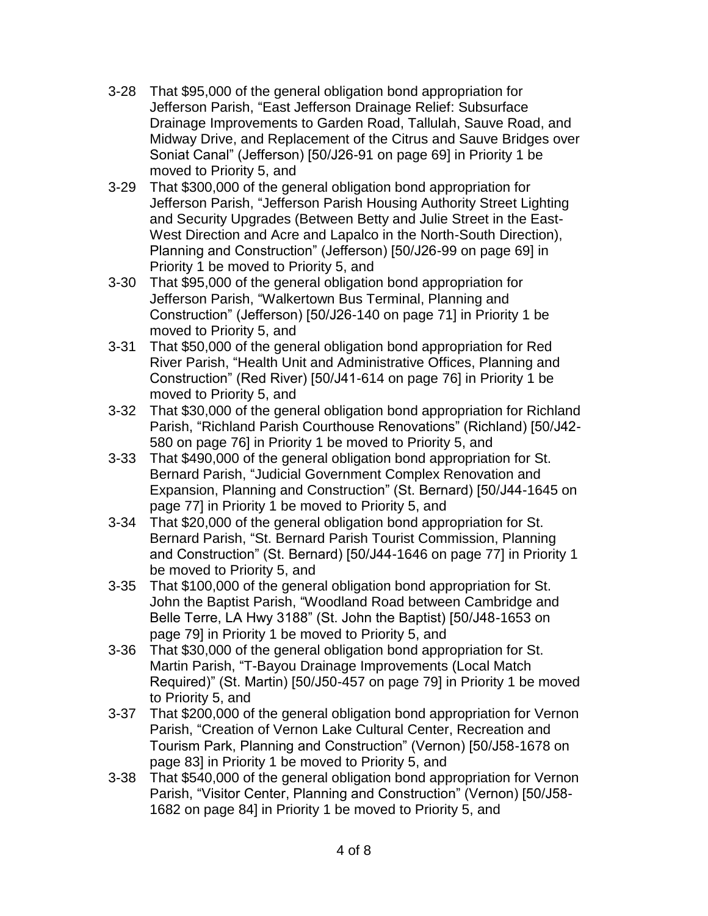- 3-28 That \$95,000 of the general obligation bond appropriation for Jefferson Parish, "East Jefferson Drainage Relief: Subsurface Drainage Improvements to Garden Road, Tallulah, Sauve Road, and Midway Drive, and Replacement of the Citrus and Sauve Bridges over Soniat Canal" (Jefferson) [50/J26-91 on page 69] in Priority 1 be moved to Priority 5, and
- 3-29 That \$300,000 of the general obligation bond appropriation for Jefferson Parish, "Jefferson Parish Housing Authority Street Lighting and Security Upgrades (Between Betty and Julie Street in the East-West Direction and Acre and Lapalco in the North-South Direction), Planning and Construction" (Jefferson) [50/J26-99 on page 69] in Priority 1 be moved to Priority 5, and
- 3-30 That \$95,000 of the general obligation bond appropriation for Jefferson Parish, "Walkertown Bus Terminal, Planning and Construction" (Jefferson) [50/J26-140 on page 71] in Priority 1 be moved to Priority 5, and
- 3-31 That \$50,000 of the general obligation bond appropriation for Red River Parish, "Health Unit and Administrative Offices, Planning and Construction" (Red River) [50/J41-614 on page 76] in Priority 1 be moved to Priority 5, and
- 3-32 That \$30,000 of the general obligation bond appropriation for Richland Parish, "Richland Parish Courthouse Renovations" (Richland) [50/J42- 580 on page 76] in Priority 1 be moved to Priority 5, and
- 3-33 That \$490,000 of the general obligation bond appropriation for St. Bernard Parish, "Judicial Government Complex Renovation and Expansion, Planning and Construction" (St. Bernard) [50/J44-1645 on page 77] in Priority 1 be moved to Priority 5, and
- 3-34 That \$20,000 of the general obligation bond appropriation for St. Bernard Parish, "St. Bernard Parish Tourist Commission, Planning and Construction" (St. Bernard) [50/J44-1646 on page 77] in Priority 1 be moved to Priority 5, and
- 3-35 That \$100,000 of the general obligation bond appropriation for St. John the Baptist Parish, "Woodland Road between Cambridge and Belle Terre, LA Hwy 3188" (St. John the Baptist) [50/J48-1653 on page 79] in Priority 1 be moved to Priority 5, and
- 3-36 That \$30,000 of the general obligation bond appropriation for St. Martin Parish, "T-Bayou Drainage Improvements (Local Match Required)" (St. Martin) [50/J50-457 on page 79] in Priority 1 be moved to Priority 5, and
- 3-37 That \$200,000 of the general obligation bond appropriation for Vernon Parish, "Creation of Vernon Lake Cultural Center, Recreation and Tourism Park, Planning and Construction" (Vernon) [50/J58-1678 on page 83] in Priority 1 be moved to Priority 5, and
- 3-38 That \$540,000 of the general obligation bond appropriation for Vernon Parish, "Visitor Center, Planning and Construction" (Vernon) [50/J58- 1682 on page 84] in Priority 1 be moved to Priority 5, and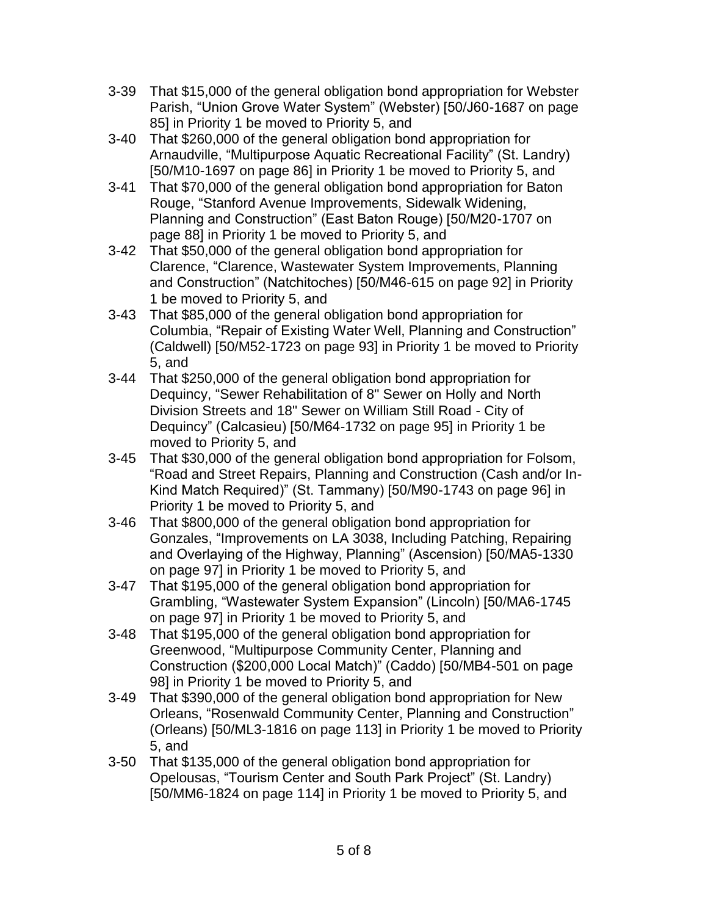- 3-39 That \$15,000 of the general obligation bond appropriation for Webster Parish, "Union Grove Water System" (Webster) [50/J60-1687 on page 85] in Priority 1 be moved to Priority 5, and
- 3-40 That \$260,000 of the general obligation bond appropriation for Arnaudville, "Multipurpose Aquatic Recreational Facility" (St. Landry) [50/M10-1697 on page 86] in Priority 1 be moved to Priority 5, and
- 3-41 That \$70,000 of the general obligation bond appropriation for Baton Rouge, "Stanford Avenue Improvements, Sidewalk Widening, Planning and Construction" (East Baton Rouge) [50/M20-1707 on page 88] in Priority 1 be moved to Priority 5, and
- 3-42 That \$50,000 of the general obligation bond appropriation for Clarence, "Clarence, Wastewater System Improvements, Planning and Construction" (Natchitoches) [50/M46-615 on page 92] in Priority 1 be moved to Priority 5, and
- 3-43 That \$85,000 of the general obligation bond appropriation for Columbia, "Repair of Existing Water Well, Planning and Construction" (Caldwell) [50/M52-1723 on page 93] in Priority 1 be moved to Priority 5, and
- 3-44 That \$250,000 of the general obligation bond appropriation for Dequincy, "Sewer Rehabilitation of 8" Sewer on Holly and North Division Streets and 18" Sewer on William Still Road - City of Dequincy" (Calcasieu) [50/M64-1732 on page 95] in Priority 1 be moved to Priority 5, and
- 3-45 That \$30,000 of the general obligation bond appropriation for Folsom, "Road and Street Repairs, Planning and Construction (Cash and/or In-Kind Match Required)" (St. Tammany) [50/M90-1743 on page 96] in Priority 1 be moved to Priority 5, and
- 3-46 That \$800,000 of the general obligation bond appropriation for Gonzales, "Improvements on LA 3038, Including Patching, Repairing and Overlaying of the Highway, Planning" (Ascension) [50/MA5-1330 on page 97] in Priority 1 be moved to Priority 5, and
- 3-47 That \$195,000 of the general obligation bond appropriation for Grambling, "Wastewater System Expansion" (Lincoln) [50/MA6-1745 on page 97] in Priority 1 be moved to Priority 5, and
- 3-48 That \$195,000 of the general obligation bond appropriation for Greenwood, "Multipurpose Community Center, Planning and Construction (\$200,000 Local Match)" (Caddo) [50/MB4-501 on page 98] in Priority 1 be moved to Priority 5, and
- 3-49 That \$390,000 of the general obligation bond appropriation for New Orleans, "Rosenwald Community Center, Planning and Construction" (Orleans) [50/ML3-1816 on page 113] in Priority 1 be moved to Priority 5, and
- 3-50 That \$135,000 of the general obligation bond appropriation for Opelousas, "Tourism Center and South Park Project" (St. Landry) [50/MM6-1824 on page 114] in Priority 1 be moved to Priority 5, and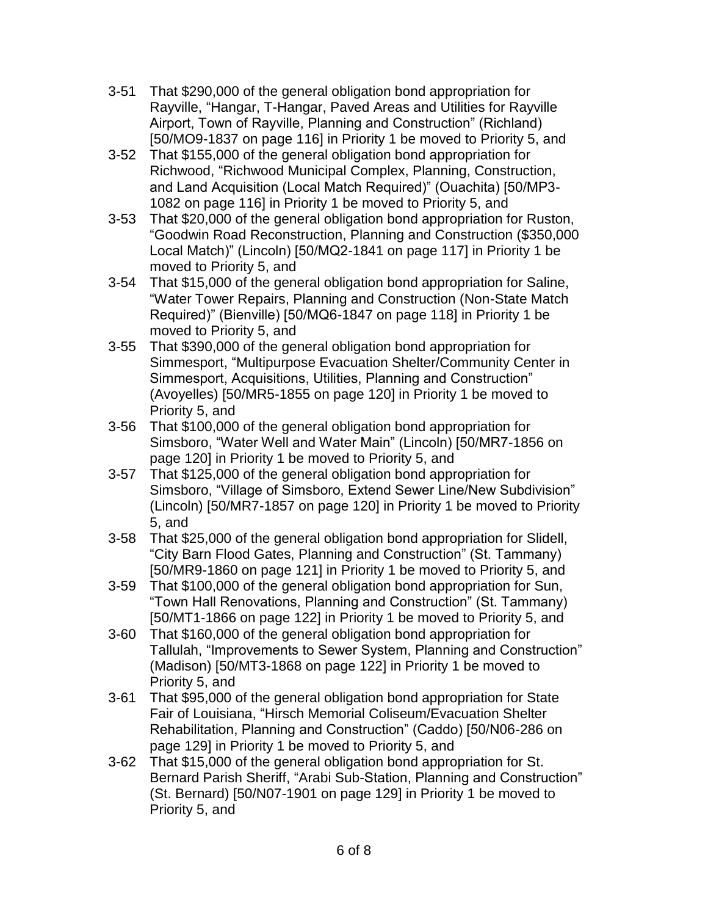- 3-51 That \$290,000 of the general obligation bond appropriation for Rayville, "Hangar, T-Hangar, Paved Areas and Utilities for Rayville Airport, Town of Rayville, Planning and Construction" (Richland) [50/MO9-1837 on page 116] in Priority 1 be moved to Priority 5, and
- 3-52 That \$155,000 of the general obligation bond appropriation for Richwood, "Richwood Municipal Complex, Planning, Construction, and Land Acquisition (Local Match Required)" (Ouachita) [50/MP3- 1082 on page 116] in Priority 1 be moved to Priority 5, and
- 3-53 That \$20,000 of the general obligation bond appropriation for Ruston, "Goodwin Road Reconstruction, Planning and Construction (\$350,000 Local Match)" (Lincoln) [50/MQ2-1841 on page 117] in Priority 1 be moved to Priority 5, and
- 3-54 That \$15,000 of the general obligation bond appropriation for Saline, "Water Tower Repairs, Planning and Construction (Non-State Match Required)" (Bienville) [50/MQ6-1847 on page 118] in Priority 1 be moved to Priority 5, and
- 3-55 That \$390,000 of the general obligation bond appropriation for Simmesport, "Multipurpose Evacuation Shelter/Community Center in Simmesport, Acquisitions, Utilities, Planning and Construction" (Avoyelles) [50/MR5-1855 on page 120] in Priority 1 be moved to Priority 5, and
- 3-56 That \$100,000 of the general obligation bond appropriation for Simsboro, "Water Well and Water Main" (Lincoln) [50/MR7-1856 on page 120] in Priority 1 be moved to Priority 5, and
- 3-57 That \$125,000 of the general obligation bond appropriation for Simsboro, "Village of Simsboro, Extend Sewer Line/New Subdivision" (Lincoln) [50/MR7-1857 on page 120] in Priority 1 be moved to Priority 5, and
- 3-58 That \$25,000 of the general obligation bond appropriation for Slidell, "City Barn Flood Gates, Planning and Construction" (St. Tammany) [50/MR9-1860 on page 121] in Priority 1 be moved to Priority 5, and
- 3-59 That \$100,000 of the general obligation bond appropriation for Sun, "Town Hall Renovations, Planning and Construction" (St. Tammany) [50/MT1-1866 on page 122] in Priority 1 be moved to Priority 5, and
- 3-60 That \$160,000 of the general obligation bond appropriation for Tallulah, "Improvements to Sewer System, Planning and Construction" (Madison) [50/MT3-1868 on page 122] in Priority 1 be moved to Priority 5, and
- 3-61 That \$95,000 of the general obligation bond appropriation for State Fair of Louisiana, "Hirsch Memorial Coliseum/Evacuation Shelter Rehabilitation, Planning and Construction" (Caddo) [50/N06-286 on page 129] in Priority 1 be moved to Priority 5, and
- 3-62 That \$15,000 of the general obligation bond appropriation for St. Bernard Parish Sheriff, "Arabi Sub-Station, Planning and Construction" (St. Bernard) [50/N07-1901 on page 129] in Priority 1 be moved to Priority 5, and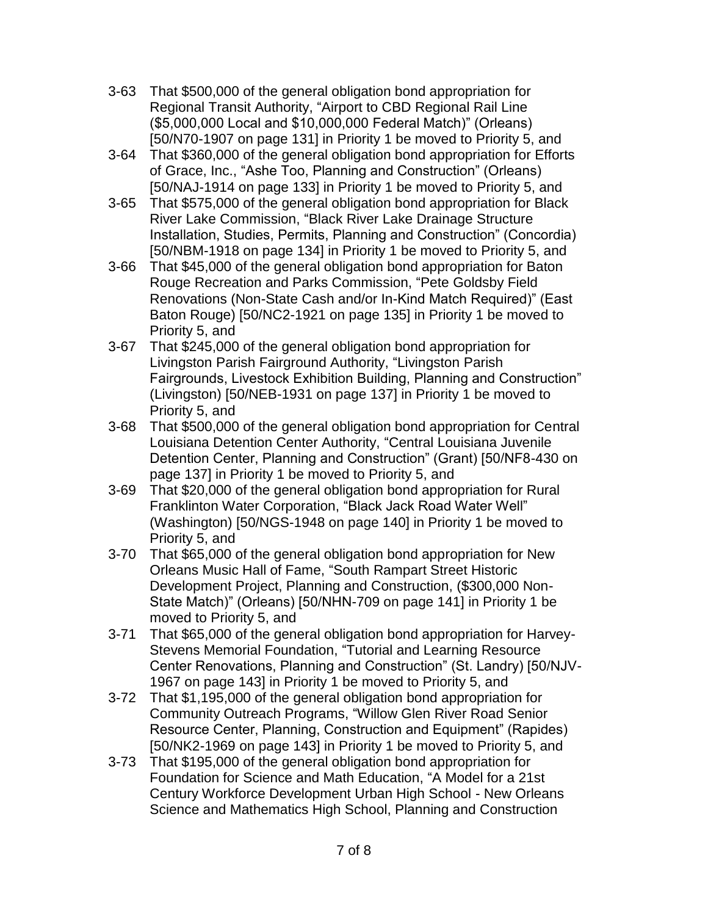- 3-63 That \$500,000 of the general obligation bond appropriation for Regional Transit Authority, "Airport to CBD Regional Rail Line (\$5,000,000 Local and \$10,000,000 Federal Match)" (Orleans) [50/N70-1907 on page 131] in Priority 1 be moved to Priority 5, and
- 3-64 That \$360,000 of the general obligation bond appropriation for Efforts of Grace, Inc., "Ashe Too, Planning and Construction" (Orleans) [50/NAJ-1914 on page 133] in Priority 1 be moved to Priority 5, and
- 3-65 That \$575,000 of the general obligation bond appropriation for Black River Lake Commission, "Black River Lake Drainage Structure Installation, Studies, Permits, Planning and Construction" (Concordia) [50/NBM-1918 on page 134] in Priority 1 be moved to Priority 5, and
- 3-66 That \$45,000 of the general obligation bond appropriation for Baton Rouge Recreation and Parks Commission, "Pete Goldsby Field Renovations (Non-State Cash and/or In-Kind Match Required)" (East Baton Rouge) [50/NC2-1921 on page 135] in Priority 1 be moved to Priority 5, and
- 3-67 That \$245,000 of the general obligation bond appropriation for Livingston Parish Fairground Authority, "Livingston Parish Fairgrounds, Livestock Exhibition Building, Planning and Construction" (Livingston) [50/NEB-1931 on page 137] in Priority 1 be moved to Priority 5, and
- 3-68 That \$500,000 of the general obligation bond appropriation for Central Louisiana Detention Center Authority, "Central Louisiana Juvenile Detention Center, Planning and Construction" (Grant) [50/NF8-430 on page 137] in Priority 1 be moved to Priority 5, and
- 3-69 That \$20,000 of the general obligation bond appropriation for Rural Franklinton Water Corporation, "Black Jack Road Water Well" (Washington) [50/NGS-1948 on page 140] in Priority 1 be moved to Priority 5, and
- 3-70 That \$65,000 of the general obligation bond appropriation for New Orleans Music Hall of Fame, "South Rampart Street Historic Development Project, Planning and Construction, (\$300,000 Non-State Match)" (Orleans) [50/NHN-709 on page 141] in Priority 1 be moved to Priority 5, and
- 3-71 That \$65,000 of the general obligation bond appropriation for Harvey-Stevens Memorial Foundation, "Tutorial and Learning Resource Center Renovations, Planning and Construction" (St. Landry) [50/NJV-1967 on page 143] in Priority 1 be moved to Priority 5, and
- 3-72 That \$1,195,000 of the general obligation bond appropriation for Community Outreach Programs, "Willow Glen River Road Senior Resource Center, Planning, Construction and Equipment" (Rapides) [50/NK2-1969 on page 143] in Priority 1 be moved to Priority 5, and
- 3-73 That \$195,000 of the general obligation bond appropriation for Foundation for Science and Math Education, "A Model for a 21st Century Workforce Development Urban High School - New Orleans Science and Mathematics High School, Planning and Construction